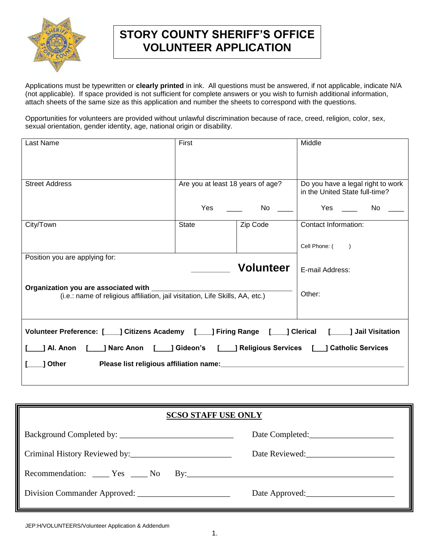

# **STORY COUNTY SHERIFF'S OFFICE VOLUNTEER APPLICATION**

Applications must be typewritten or **clearly printed** in ink. All questions must be answered, if not applicable, indicate N/A (not applicable). If space provided is not sufficient for complete answers or you wish to furnish additional information, attach sheets of the same size as this application and number the sheets to correspond with the questions.

Opportunities for volunteers are provided without unlawful discrimination because of race, creed, religion, color, sex, sexual orientation, gender identity, age, national origin or disability.

| Last Name                                                                                                                                                                                                  | First                             |                  | Middle                                                                                                                                                                                                                                     |
|------------------------------------------------------------------------------------------------------------------------------------------------------------------------------------------------------------|-----------------------------------|------------------|--------------------------------------------------------------------------------------------------------------------------------------------------------------------------------------------------------------------------------------------|
|                                                                                                                                                                                                            |                                   |                  |                                                                                                                                                                                                                                            |
| <b>Street Address</b>                                                                                                                                                                                      | Are you at least 18 years of age? |                  | Do you have a legal right to work<br>in the United State full-time?                                                                                                                                                                        |
|                                                                                                                                                                                                            | <b>Yes</b>                        | No               | <b>Yes</b> and the most of the most of the most of the most of the most of the most of the most of the most of the most of the most of the most of the most of the most of the most of the most of the most of the most of the most<br>No. |
| City/Town                                                                                                                                                                                                  | State                             | Zip Code         | Contact Information:                                                                                                                                                                                                                       |
|                                                                                                                                                                                                            |                                   |                  | Cell Phone: ()                                                                                                                                                                                                                             |
| Position you are applying for:                                                                                                                                                                             |                                   |                  |                                                                                                                                                                                                                                            |
|                                                                                                                                                                                                            |                                   | <b>Volunteer</b> | E-mail Address:                                                                                                                                                                                                                            |
| Organization you are associated with the control of the control of the control of the control of the control o<br>(i.e.: name of religious affiliation, jail visitation, Life Skills, AA, etc.)            |                                   |                  | Other:                                                                                                                                                                                                                                     |
| Volunteer Preference: [____] Citizens Academy [____] Firing Range [____] Clerical [_____] Jail Visitation<br>____] Narc Anon [____] Gideon's [____] Religious Services [___] Catholic Services<br>Al. Anon |                                   |                  |                                                                                                                                                                                                                                            |
| Other                                                                                                                                                                                                      |                                   |                  |                                                                                                                                                                                                                                            |

| <b>SCSO STAFF USE ONLY</b>        |                 |  |
|-----------------------------------|-----------------|--|
|                                   | Date Completed: |  |
|                                   |                 |  |
| Recommendation: <u>Ves</u> No By: |                 |  |
|                                   | Date Approved:  |  |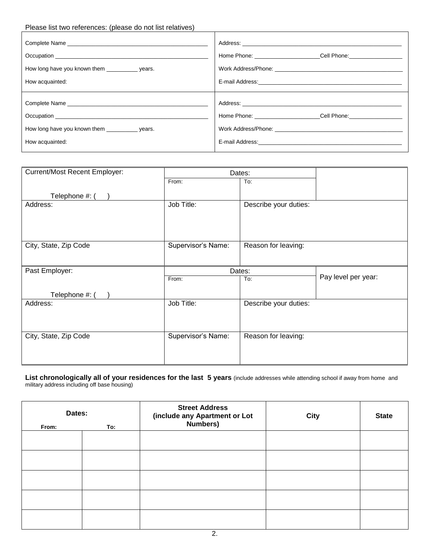### Please list two references: (please do not list relatives)

|                                                                       | Home Phone: Cell Phone: Cell Phone: |
|-----------------------------------------------------------------------|-------------------------------------|
| How long have you known them _______________ years.                   |                                     |
| How acquainted:                                                       |                                     |
| How long have you known them ______________ years.<br>How acquainted: | Home Phone: Cell Phone:             |

| Current/Most Recent Employer: | Dates:             |                       |                     |
|-------------------------------|--------------------|-----------------------|---------------------|
|                               | From:              | To:                   |                     |
| Telephone #: (                |                    |                       |                     |
| Address:                      | Job Title:         | Describe your duties: |                     |
| City, State, Zip Code         | Supervisor's Name: | Reason for leaving:   |                     |
| Past Employer:                | Dates:             |                       |                     |
|                               | From:              | To:                   | Pay level per year: |
| Telephone #:                  |                    |                       |                     |
| Address:                      | Job Title:         | Describe your duties: |                     |
|                               |                    |                       |                     |
| City, State, Zip Code         | Supervisor's Name: | Reason for leaving:   |                     |
|                               |                    |                       |                     |

**List chronologically all of your residences for the last 5 years** (include addresses while attending school if away from home and military address including off base housing)

| Dates:<br>From: | To: | <b>Street Address</b><br>(include any Apartment or Lot<br>Numbers) | <b>City</b> | <b>State</b> |
|-----------------|-----|--------------------------------------------------------------------|-------------|--------------|
|                 |     |                                                                    |             |              |
|                 |     |                                                                    |             |              |
|                 |     |                                                                    |             |              |
|                 |     |                                                                    |             |              |
|                 |     |                                                                    |             |              |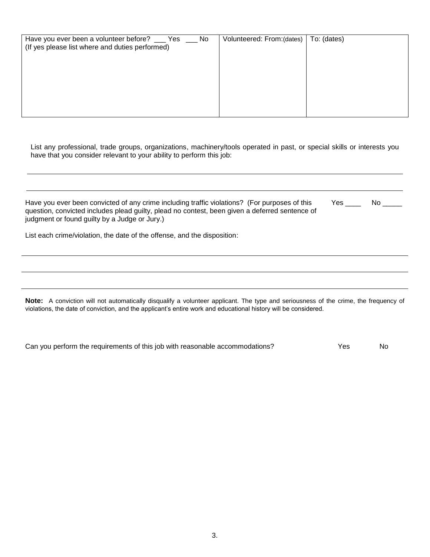| Have you ever been a volunteer before? __ Yes __ No<br>(If yes please list where and duties performed) | Volunteered: From: (dates) | To: (dates) |
|--------------------------------------------------------------------------------------------------------|----------------------------|-------------|
|                                                                                                        |                            |             |

List any professional, trade groups, organizations, machinery/tools operated in past, or special skills or interests you have that you consider relevant to your ability to perform this job:

| Have you ever been convicted of any crime including traffic violations? (For purposes of this<br>question, convicted includes plead guilty, plead no contest, been given a deferred sentence of<br>judgment or found guilty by a Judge or Jury.) | Yes | No l |
|--------------------------------------------------------------------------------------------------------------------------------------------------------------------------------------------------------------------------------------------------|-----|------|
| List each crime/violation, the date of the offense, and the disposition:                                                                                                                                                                         |     |      |

**Note:** A conviction will not automatically disqualify a volunteer applicant. The type and seriousness of the crime, the frequency of violations, the date of conviction, and the applicant's entire work and educational history will be considered.

| Can you perform the requirements of this job with reasonable accommodations? | Yes. | No. |
|------------------------------------------------------------------------------|------|-----|
|------------------------------------------------------------------------------|------|-----|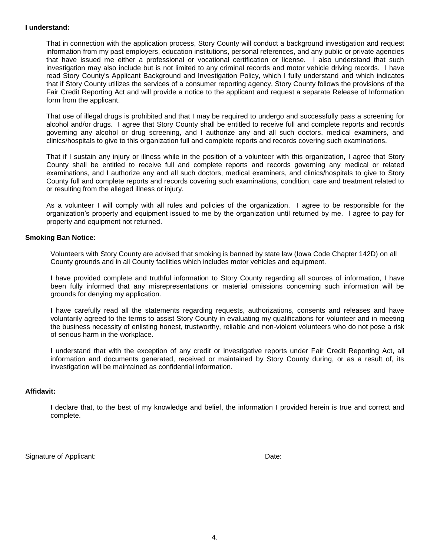#### **I understand:**

That in connection with the application process, Story County will conduct a background investigation and request information from my past employers, education institutions, personal references, and any public or private agencies that have issued me either a professional or vocational certification or license. I also understand that such investigation may also include but is not limited to any criminal records and motor vehicle driving records. I have read Story County's Applicant Background and Investigation Policy, which I fully understand and which indicates that if Story County utilizes the services of a consumer reporting agency, Story County follows the provisions of the Fair Credit Reporting Act and will provide a notice to the applicant and request a separate Release of Information form from the applicant.

That use of illegal drugs is prohibited and that I may be required to undergo and successfully pass a screening for alcohol and/or drugs. I agree that Story County shall be entitled to receive full and complete reports and records governing any alcohol or drug screening, and I authorize any and all such doctors, medical examiners, and clinics/hospitals to give to this organization full and complete reports and records covering such examinations.

That if I sustain any injury or illness while in the position of a volunteer with this organization, I agree that Story County shall be entitled to receive full and complete reports and records governing any medical or related examinations, and I authorize any and all such doctors, medical examiners, and clinics/hospitals to give to Story County full and complete reports and records covering such examinations, condition, care and treatment related to or resulting from the alleged illness or injury.

As a volunteer I will comply with all rules and policies of the organization. I agree to be responsible for the organization's property and equipment issued to me by the organization until returned by me. I agree to pay for property and equipment not returned.

#### **Smoking Ban Notice:**

Volunteers with Story County are advised that smoking is banned by state law (Iowa Code Chapter 142D) on all County grounds and in all County facilities which includes motor vehicles and equipment.

I have provided complete and truthful information to Story County regarding all sources of information, I have been fully informed that any misrepresentations or material omissions concerning such information will be grounds for denying my application.

I have carefully read all the statements regarding requests, authorizations, consents and releases and have voluntarily agreed to the terms to assist Story County in evaluating my qualifications for volunteer and in meeting the business necessity of enlisting honest, trustworthy, reliable and non-violent volunteers who do not pose a risk of serious harm in the workplace.

I understand that with the exception of any credit or investigative reports under Fair Credit Reporting Act, all information and documents generated, received or maintained by Story County during, or as a result of, its investigation will be maintained as confidential information.

#### **Affidavit:**

I declare that, to the best of my knowledge and belief, the information I provided herein is true and correct and complete.

Signature of Applicant:  $\Box$  Date:  $\Box$  Date:  $\Box$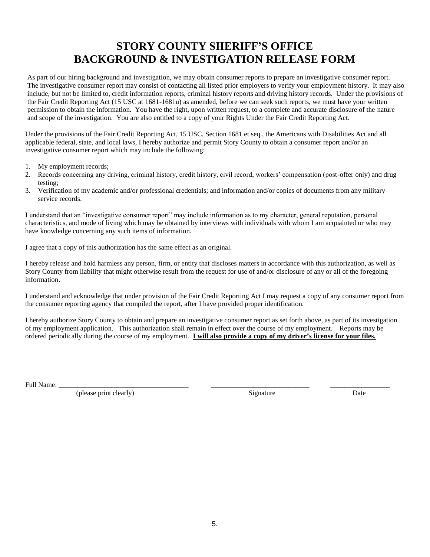# **STORY COUNTY SHERIFF'S OFFICE BACKGROUND & INVESTIGATION RELEASE FORM**

As part of our hiring background and investigation, we may obtain consumer reports to prepare an investigative consumer report. The investigative consumer report may consist of contacting all listed prior employers to verify your employment history. It may also include, but not be limited to, credit information reports, criminal history reports and driving history records. Under the provisions of the Fair Credit Reporting Act (15 USC at 1681-1681u) as amended, before we can seek such reports, we must have your written permission to obtain the information. You have the right, upon written request, to a complete and accurate disclosure of the nature and scope of the investigation. You are also entitled to a copy of your Rights Under the Fair Credit Reporting Act.

Under the provisions of the Fair Credit Reporting Act, 15 USC, Section 1681 et seq., the Americans with Disabilities Act and all applicable federal, state, and local laws, I hereby authorize and permit Story County to obtain a consumer report and/or an investigative consumer report which may include the following:

- 1. My employment records;
- 2. Records concerning any driving, criminal history, credit history, civil record, workers' compensation (post-offer only) and drug testing;
- 3. Verification of my academic and/or professional credentials; and information and/or copies of documents from any military service records.

I understand that an "investigative consumer report" may include information as to my character, general reputation, personal characteristics, and mode of living which may be obtained by interviews with individuals with whom I am acquainted or who may have knowledge concerning any such items of information.

I agree that a copy of this authorization has the same effect as an original.

I hereby release and hold harmless any person, firm, or entity that discloses matters in accordance with this authorization, as well as Story County from liability that might otherwise result from the request for use of and/or disclosure of any or all of the foregoing information.

I understand and acknowledge that under provision of the Fair Credit Reporting Act I may request a copy of any consumer report from the consumer reporting agency that compiled the report, after I have provided proper identification.

I hereby authorize Story County to obtain and prepare an investigative consumer report as set forth above, as part of its investigation of my employment application. This authorization shall remain in effect over the course of my employment. Reports may be ordered periodically during the course of my employment. **I will also provide a copy of my driver's license for your files.**

Full Name: \_\_\_\_\_\_\_\_\_\_\_\_\_\_\_\_\_\_\_\_\_\_\_\_\_\_\_\_\_\_\_\_\_\_\_\_\_ \_\_\_\_\_\_\_\_\_\_\_\_\_\_\_\_\_\_\_\_\_\_\_\_\_\_\_\_ \_\_\_\_\_\_\_\_\_\_\_\_\_\_\_\_\_

(please print clearly) Signature Date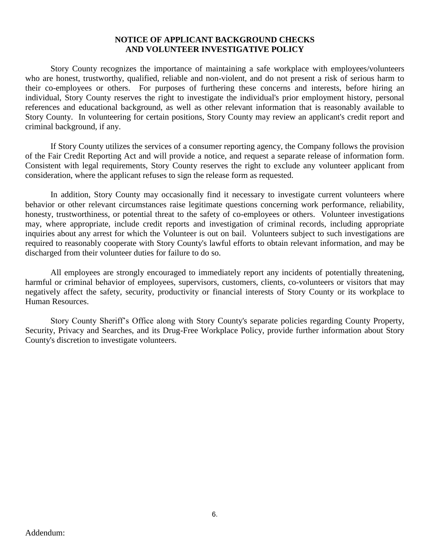### **NOTICE OF APPLICANT BACKGROUND CHECKS AND VOLUNTEER INVESTIGATIVE POLICY**

Story County recognizes the importance of maintaining a safe workplace with employees/volunteers who are honest, trustworthy, qualified, reliable and non-violent, and do not present a risk of serious harm to their co-employees or others. For purposes of furthering these concerns and interests, before hiring an individual, Story County reserves the right to investigate the individual's prior employment history, personal references and educational background, as well as other relevant information that is reasonably available to Story County. In volunteering for certain positions, Story County may review an applicant's credit report and criminal background, if any.

If Story County utilizes the services of a consumer reporting agency, the Company follows the provision of the Fair Credit Reporting Act and will provide a notice, and request a separate release of information form. Consistent with legal requirements, Story County reserves the right to exclude any volunteer applicant from consideration, where the applicant refuses to sign the release form as requested.

In addition, Story County may occasionally find it necessary to investigate current volunteers where behavior or other relevant circumstances raise legitimate questions concerning work performance, reliability, honesty, trustworthiness, or potential threat to the safety of co-employees or others. Volunteer investigations may, where appropriate, include credit reports and investigation of criminal records, including appropriate inquiries about any arrest for which the Volunteer is out on bail. Volunteers subject to such investigations are required to reasonably cooperate with Story County's lawful efforts to obtain relevant information, and may be discharged from their volunteer duties for failure to do so.

All employees are strongly encouraged to immediately report any incidents of potentially threatening, harmful or criminal behavior of employees, supervisors, customers, clients, co-volunteers or visitors that may negatively affect the safety, security, productivity or financial interests of Story County or its workplace to Human Resources.

Story County Sheriff's Office along with Story County's separate policies regarding County Property, Security, Privacy and Searches, and its Drug-Free Workplace Policy, provide further information about Story County's discretion to investigate volunteers.